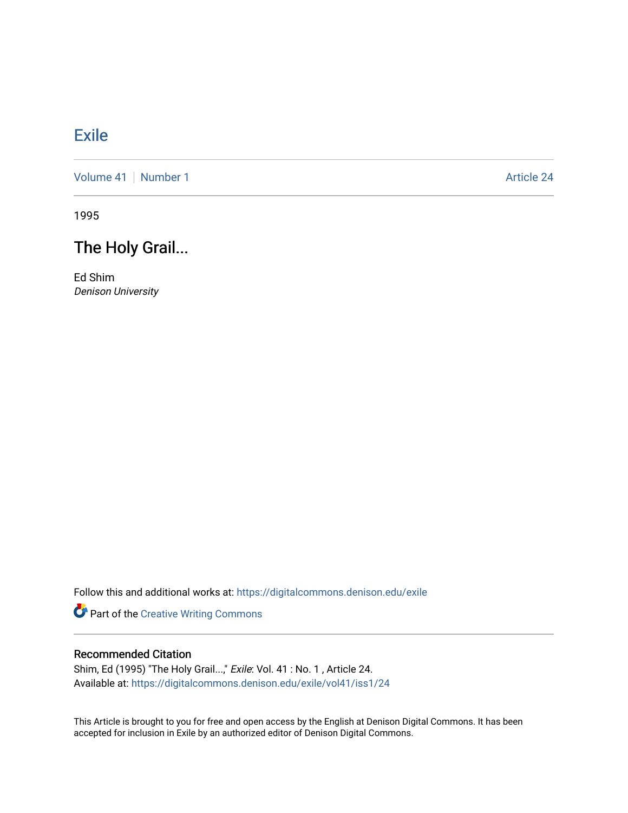## [Exile](https://digitalcommons.denison.edu/exile)

[Volume 41](https://digitalcommons.denison.edu/exile/vol41) [Number 1](https://digitalcommons.denison.edu/exile/vol41/iss1) Article 24

1995

# The Holy Grail...

Ed Shim Denison University

Follow this and additional works at: [https://digitalcommons.denison.edu/exile](https://digitalcommons.denison.edu/exile?utm_source=digitalcommons.denison.edu%2Fexile%2Fvol41%2Fiss1%2F24&utm_medium=PDF&utm_campaign=PDFCoverPages) 

Part of the [Creative Writing Commons](http://network.bepress.com/hgg/discipline/574?utm_source=digitalcommons.denison.edu%2Fexile%2Fvol41%2Fiss1%2F24&utm_medium=PDF&utm_campaign=PDFCoverPages) 

### Recommended Citation

Shim, Ed (1995) "The Holy Grail...," Exile: Vol. 41 : No. 1, Article 24. Available at: [https://digitalcommons.denison.edu/exile/vol41/iss1/24](https://digitalcommons.denison.edu/exile/vol41/iss1/24?utm_source=digitalcommons.denison.edu%2Fexile%2Fvol41%2Fiss1%2F24&utm_medium=PDF&utm_campaign=PDFCoverPages)

This Article is brought to you for free and open access by the English at Denison Digital Commons. It has been accepted for inclusion in Exile by an authorized editor of Denison Digital Commons.